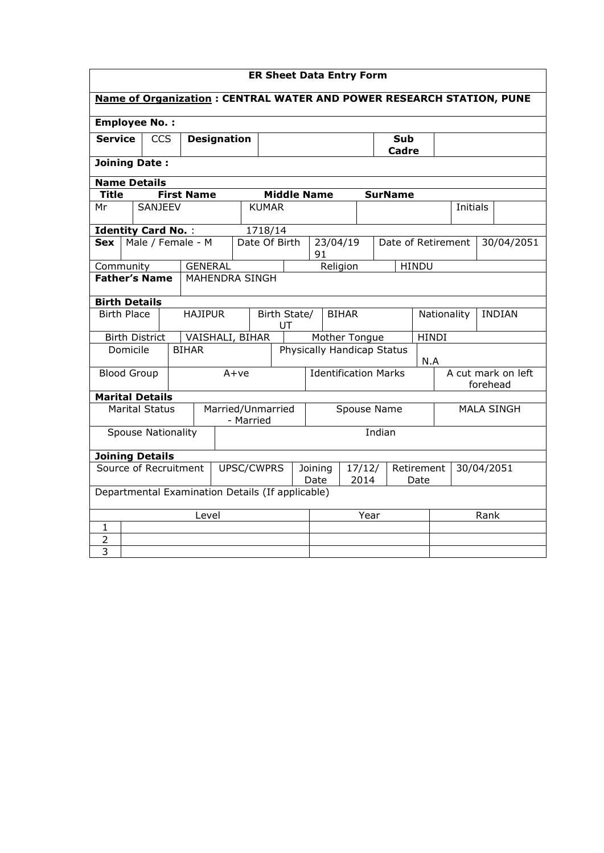| <b>ER Sheet Data Entry Form</b>                                      |                                               |  |         |                                                  |  |                                                         |                                    |                    |    |                                          |                     |  |                                |              |                    |               |  |            |
|----------------------------------------------------------------------|-----------------------------------------------|--|---------|--------------------------------------------------|--|---------------------------------------------------------|------------------------------------|--------------------|----|------------------------------------------|---------------------|--|--------------------------------|--------------|--------------------|---------------|--|------------|
| Name of Organization: CENTRAL WATER AND POWER RESEARCH STATION, PUNE |                                               |  |         |                                                  |  |                                                         |                                    |                    |    |                                          |                     |  |                                |              |                    |               |  |            |
|                                                                      | <b>Employee No.:</b>                          |  |         |                                                  |  |                                                         |                                    |                    |    |                                          |                     |  |                                |              |                    |               |  |            |
| <b>CCS</b><br><b>Service</b><br><b>Designation</b>                   |                                               |  |         |                                                  |  |                                                         |                                    |                    |    |                                          | <b>Sub</b><br>Cadre |  |                                |              |                    |               |  |            |
| <b>Joining Date:</b>                                                 |                                               |  |         |                                                  |  |                                                         |                                    |                    |    |                                          |                     |  |                                |              |                    |               |  |            |
| <b>Name Details</b>                                                  |                                               |  |         |                                                  |  |                                                         |                                    |                    |    |                                          |                     |  |                                |              |                    |               |  |            |
| <b>Title</b>                                                         |                                               |  |         | <b>First Name</b>                                |  |                                                         |                                    | <b>Middle Name</b> |    |                                          |                     |  | <b>SurName</b>                 |              |                    |               |  |            |
| Mr                                                                   |                                               |  | SANJEEV |                                                  |  |                                                         | <b>KUMAR</b>                       |                    |    |                                          |                     |  |                                |              |                    | Initials      |  |            |
| <b>Identity Card No.:</b>                                            |                                               |  |         |                                                  |  |                                                         | 1718/14                            |                    |    |                                          |                     |  |                                |              |                    |               |  |            |
| Sex                                                                  |                                               |  |         | Male / Female - M                                |  |                                                         | Date Of Birth                      |                    | 91 | 23/04/19                                 |                     |  |                                |              | Date of Retirement |               |  | 30/04/2051 |
| Community                                                            |                                               |  |         | <b>GENERAL</b>                                   |  |                                                         |                                    |                    |    | Religion                                 |                     |  |                                | <b>HINDU</b> |                    |               |  |            |
|                                                                      | <b>Father's Name</b><br><b>MAHENDRA SINGH</b> |  |         |                                                  |  |                                                         |                                    |                    |    |                                          |                     |  |                                |              |                    |               |  |            |
| <b>Birth Details</b>                                                 |                                               |  |         |                                                  |  |                                                         |                                    |                    |    |                                          |                     |  |                                |              |                    |               |  |            |
|                                                                      | <b>Birth Place</b>                            |  |         | <b>HAJIPUR</b>                                   |  |                                                         | Birth State/<br><b>BIHAR</b><br>UT |                    |    |                                          | Nationality         |  |                                |              |                    | <b>INDIAN</b> |  |            |
|                                                                      | <b>Birth District</b>                         |  |         | VAISHALI, BIHAR                                  |  |                                                         |                                    |                    |    | Mother Tongue<br><b>HINDI</b>            |                     |  |                                |              |                    |               |  |            |
|                                                                      | Domicile                                      |  |         | <b>BIHAR</b>                                     |  |                                                         |                                    |                    |    | <b>Physically Handicap Status</b><br>N.A |                     |  |                                |              |                    |               |  |            |
|                                                                      | <b>Blood Group</b>                            |  |         |                                                  |  | $A+ve$                                                  | <b>Identification Marks</b>        |                    |    |                                          |                     |  | A cut mark on left<br>forehead |              |                    |               |  |            |
| <b>Marital Details</b>                                               |                                               |  |         |                                                  |  |                                                         |                                    |                    |    |                                          |                     |  |                                |              |                    |               |  |            |
|                                                                      | <b>Marital Status</b>                         |  |         |                                                  |  | - Married                                               | Married/Unmarried                  |                    |    | Spouse Name<br><b>MALA SINGH</b>         |                     |  |                                |              |                    |               |  |            |
|                                                                      | <b>Spouse Nationality</b>                     |  |         |                                                  |  |                                                         |                                    |                    |    |                                          |                     |  | Indian                         |              |                    |               |  |            |
| <b>Joining Details</b>                                               |                                               |  |         |                                                  |  |                                                         |                                    |                    |    |                                          |                     |  |                                |              |                    |               |  |            |
| Source of Recruitment<br>UPSC/CWPRS                                  |                                               |  |         |                                                  |  | Retirement<br>Joining<br>17/12/<br>2014<br>Date<br>Date |                                    |                    |    | 30/04/2051                               |                     |  |                                |              |                    |               |  |            |
|                                                                      |                                               |  |         | Departmental Examination Details (If applicable) |  |                                                         |                                    |                    |    |                                          |                     |  |                                |              |                    |               |  |            |
| Level                                                                |                                               |  |         |                                                  |  |                                                         | Year<br>Rank                       |                    |    |                                          |                     |  |                                |              |                    |               |  |            |
| $\mathbf{1}$                                                         |                                               |  |         |                                                  |  |                                                         |                                    |                    |    |                                          |                     |  |                                |              |                    |               |  |            |
| $\overline{2}$                                                       |                                               |  |         |                                                  |  |                                                         |                                    |                    |    |                                          |                     |  |                                |              |                    |               |  |            |
| 3                                                                    |                                               |  |         |                                                  |  |                                                         |                                    |                    |    |                                          |                     |  |                                |              |                    |               |  |            |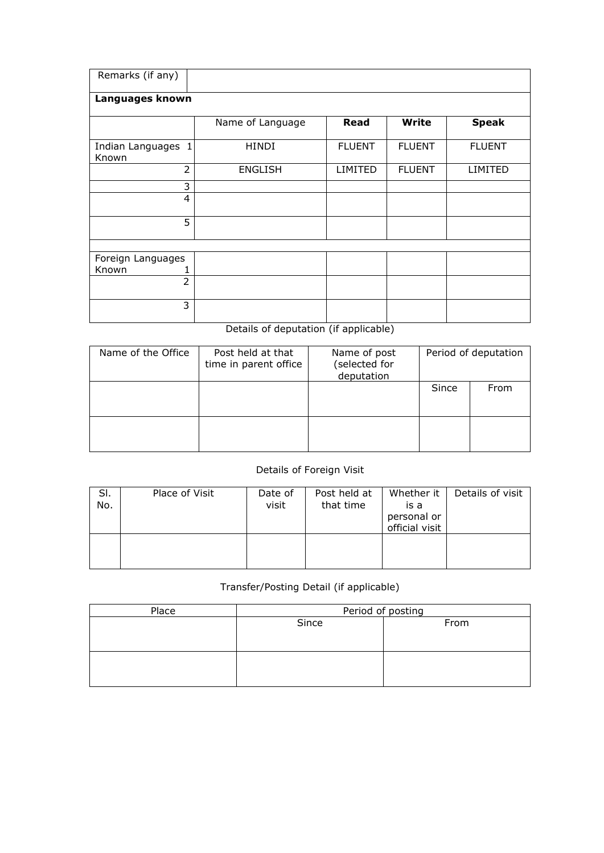| Remarks (if any)            |                  |               |               |               |  |  |  |  |  |  |  |  |
|-----------------------------|------------------|---------------|---------------|---------------|--|--|--|--|--|--|--|--|
| Languages known             |                  |               |               |               |  |  |  |  |  |  |  |  |
|                             | Name of Language | Read          | <b>Write</b>  | <b>Speak</b>  |  |  |  |  |  |  |  |  |
| Indian Languages 1<br>Known | <b>HINDI</b>     | <b>FLUENT</b> | <b>FLUENT</b> | <b>FLUENT</b> |  |  |  |  |  |  |  |  |
| $\overline{2}$              | <b>ENGLISH</b>   | LIMITED       | <b>FLUENT</b> | LIMITED       |  |  |  |  |  |  |  |  |
| 3                           |                  |               |               |               |  |  |  |  |  |  |  |  |
| 4                           |                  |               |               |               |  |  |  |  |  |  |  |  |
| 5                           |                  |               |               |               |  |  |  |  |  |  |  |  |
|                             |                  |               |               |               |  |  |  |  |  |  |  |  |
| Foreign Languages           |                  |               |               |               |  |  |  |  |  |  |  |  |
| Known                       |                  |               |               |               |  |  |  |  |  |  |  |  |
| $\overline{2}$              |                  |               |               |               |  |  |  |  |  |  |  |  |
| 3                           |                  |               |               |               |  |  |  |  |  |  |  |  |

## Details of deputation (if applicable)

| Name of the Office | Post held at that<br>time in parent office | Name of post<br>(selected for<br>deputation | Period of deputation |      |  |
|--------------------|--------------------------------------------|---------------------------------------------|----------------------|------|--|
|                    |                                            |                                             | Since                | From |  |
|                    |                                            |                                             |                      |      |  |

## Details of Foreign Visit

| SI.<br>No. | Place of Visit | Date of<br>visit | Post held at<br>that time | Whether it<br>is a<br>personal or<br>official visit | Details of visit |
|------------|----------------|------------------|---------------------------|-----------------------------------------------------|------------------|
|            |                |                  |                           |                                                     |                  |

## Transfer/Posting Detail (if applicable)

| Place | Period of posting |      |  |  |  |  |  |
|-------|-------------------|------|--|--|--|--|--|
|       | Since             | From |  |  |  |  |  |
|       |                   |      |  |  |  |  |  |
|       |                   |      |  |  |  |  |  |
|       |                   |      |  |  |  |  |  |
|       |                   |      |  |  |  |  |  |
|       |                   |      |  |  |  |  |  |